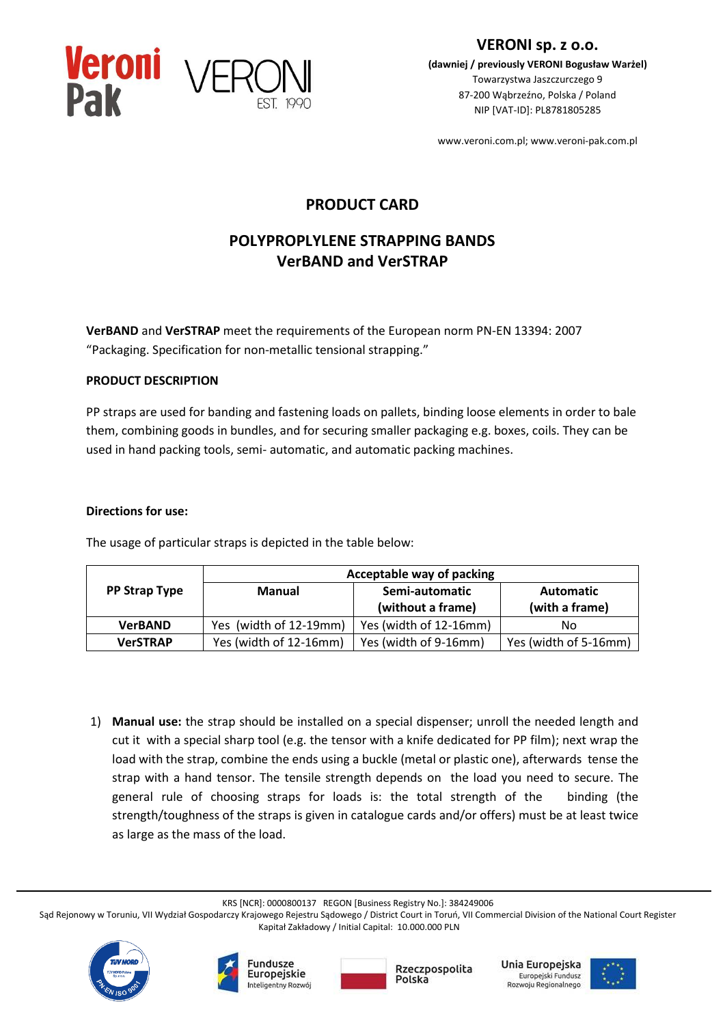

**VERONI sp. z o.o. (dawniej / previously VERONI Bogusław Warżel)** Towarzystwa Jaszczurczego 9 87-200 Wąbrzeźno, Polska / Poland

NIP [VAT-ID]: PL8781805285

www.veroni.com.pl; www.veroni-pak.com.pl

# **PRODUCT CARD**

# **POLYPROPLYLENE STRAPPING BANDS VerBAND and VerSTRAP**

**VerBAND** and **VerSTRAP** meet the requirements of the European norm PN-EN 13394: 2007 "Packaging. Specification for non-metallic tensional strapping."

## **PRODUCT DESCRIPTION**

PP straps are used for banding and fastening loads on pallets, binding loose elements in order to bale them, combining goods in bundles, and for securing smaller packaging e.g. boxes, coils. They can be used in hand packing tools, semi- automatic, and automatic packing machines.

#### **Directions for use:**

The usage of particular straps is depicted in the table below:

|                      | Acceptable way of packing |                                     |                                    |
|----------------------|---------------------------|-------------------------------------|------------------------------------|
| <b>PP Strap Type</b> | <b>Manual</b>             | Semi-automatic<br>(without a frame) | <b>Automatic</b><br>(with a frame) |
| <b>VerBAND</b>       | Yes (width of 12-19mm)    | Yes (width of 12-16mm)              | Nο                                 |
| <b>VerSTRAP</b>      | Yes (width of 12-16mm)    | Yes (width of 9-16mm)               | Yes (width of 5-16mm)              |

1) **Manual use:** the strap should be installed on a special dispenser; unroll the needed length and cut it with a special sharp tool (e.g. the tensor with a knife dedicated for PP film); next wrap the load with the strap, combine the ends using a buckle (metal or plastic one), afterwards tense the strap with a hand tensor. The tensile strength depends on the load you need to secure. The general rule of choosing straps for loads is: the total strength of the binding (the strength/toughness of the straps is given in catalogue cards and/or offers) must be at least twice as large as the mass of the load.

KRS [NCR]: 0000800137 REGON [Business Registry No.]: 384249006

Sąd Rejonowy w Toruniu, VII Wydział Gospodarczy Krajowego Rejestru Sądowego / District Court in Toruń, VII Commercial Division of the National Court Register Kapitał Zakładowy / Initial Capital: 10.000.000 PLN









Unia Europejska Europejski Fundusz Rozwoju Regionalnego